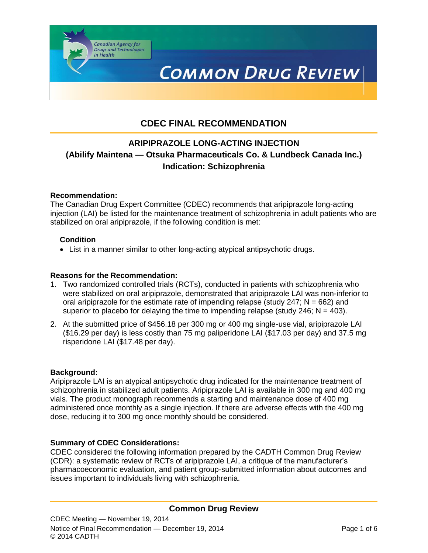# **COMMON DRUG REVIEW**

## **CDEC FINAL RECOMMENDATION**

# **ARIPIPRAZOLE LONG-ACTING INJECTION (Abilify Maintena — Otsuka Pharmaceuticals Co. & Lundbeck Canada Inc.) Indication: Schizophrenia**

#### **Recommendation:**

The Canadian Drug Expert Committee (CDEC) recommends that aripiprazole long-acting injection (LAI) be listed for the maintenance treatment of schizophrenia in adult patients who are stabilized on oral aripiprazole, if the following condition is met:

#### **Condition**

List in a manner similar to other long-acting atypical antipsychotic drugs.

#### **Reasons for the Recommendation:**

**Canadian Agency for<br>Drugs and Technologies** 

in Health

- 1. Two randomized controlled trials (RCTs), conducted in patients with schizophrenia who were stabilized on oral aripiprazole, demonstrated that aripiprazole LAI was non-inferior to oral aripiprazole for the estimate rate of impending relapse (study 247;  $N = 662$ ) and superior to placebo for delaying the time to impending relapse (study  $246$ ; N = 403).
- 2. At the submitted price of \$456.18 per 300 mg or 400 mg single-use vial, aripiprazole LAI (\$16.29 per day) is less costly than 75 mg paliperidone LAI (\$17.03 per day) and 37.5 mg risperidone LAI (\$17.48 per day).

#### **Background:**

Aripiprazole LAI is an atypical antipsychotic drug indicated for the maintenance treatment of schizophrenia in stabilized adult patients. Aripiprazole LAI is available in 300 mg and 400 mg vials. The product monograph recommends a starting and maintenance dose of 400 mg administered once monthly as a single injection. If there are adverse effects with the 400 mg dose, reducing it to 300 mg once monthly should be considered.

#### **Summary of CDEC Considerations:**

CDEC considered the following information prepared by the CADTH Common Drug Review (CDR): a systematic review of RCTs of aripiprazole LAI, a critique of the manufacturer's pharmacoeconomic evaluation, and patient group-submitted information about outcomes and issues important to individuals living with schizophrenia.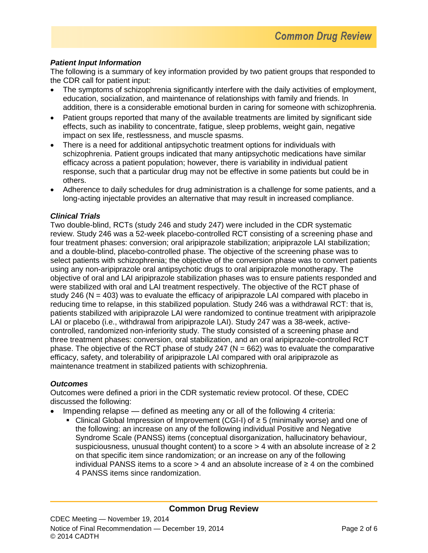## *Patient Input Information*

The following is a summary of key information provided by two patient groups that responded to the CDR call for patient input:

- The symptoms of schizophrenia significantly interfere with the daily activities of employment, education, socialization, and maintenance of relationships with family and friends. In addition, there is a considerable emotional burden in caring for someone with schizophrenia.
- Patient groups reported that many of the available treatments are limited by significant side effects, such as inability to concentrate, fatigue, sleep problems, weight gain, negative impact on sex life, restlessness, and muscle spasms.
- There is a need for additional antipsychotic treatment options for individuals with schizophrenia. Patient groups indicated that many antipsychotic medications have similar efficacy across a patient population; however, there is variability in individual patient response, such that a particular drug may not be effective in some patients but could be in others.
- Adherence to daily schedules for drug administration is a challenge for some patients, and a long-acting injectable provides an alternative that may result in increased compliance.

## *Clinical Trials*

Two double-blind, RCTs (study 246 and study 247) were included in the CDR systematic review. Study 246 was a 52-week placebo-controlled RCT consisting of a screening phase and four treatment phases: conversion; oral aripiprazole stabilization; aripiprazole LAI stabilization; and a double-blind, placebo-controlled phase. The objective of the screening phase was to select patients with schizophrenia; the objective of the conversion phase was to convert patients using any non-aripiprazole oral antipsychotic drugs to oral aripiprazole monotherapy. The objective of oral and LAI aripiprazole stabilization phases was to ensure patients responded and were stabilized with oral and LAI treatment respectively. The objective of the RCT phase of study 246 ( $N = 403$ ) was to evaluate the efficacy of aripiprazole LAI compared with placebo in reducing time to relapse, in this stabilized population. Study 246 was a withdrawal RCT: that is, patients stabilized with aripiprazole LAI were randomized to continue treatment with aripiprazole LAI or placebo (i.e., withdrawal from aripiprazole LAI). Study 247 was a 38-week, activecontrolled, randomized non-inferiority study. The study consisted of a screening phase and three treatment phases: conversion, oral stabilization, and an oral aripiprazole-controlled RCT phase. The objective of the RCT phase of study  $247$  (N = 662) was to evaluate the comparative efficacy, safety, and tolerability of aripiprazole LAI compared with oral aripiprazole as maintenance treatment in stabilized patients with schizophrenia.

## *Outcomes*

Outcomes were defined a priori in the CDR systematic review protocol. Of these, CDEC discussed the following:

- Impending relapse defined as meeting any or all of the following 4 criteria:
	- Clinical Global Impression of Improvement (CGI-I) of ≥ 5 (minimally worse) and one of the following: an increase on any of the following individual Positive and Negative Syndrome Scale (PANSS) items (conceptual disorganization, hallucinatory behaviour, suspiciousness, unusual thought content) to a score  $> 4$  with an absolute increase of  $\geq 2$ on that specific item since randomization; or an increase on any of the following individual PANSS items to a score > 4 and an absolute increase of  $≥$  4 on the combined 4 PANSS items since randomization.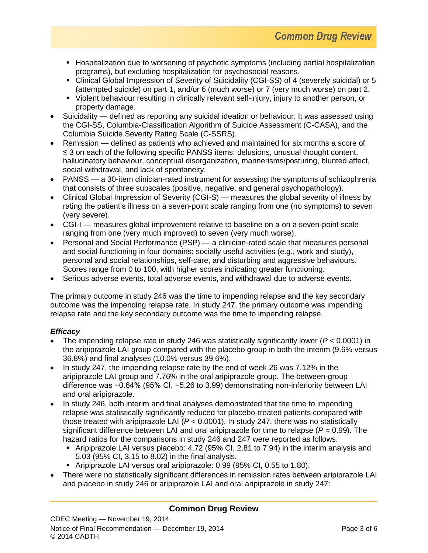- **H** Hospitalization due to worsening of psychotic symptoms (including partial hospitalization programs), but excluding hospitalization for psychosocial reasons.
- Clinical Global Impression of Severity of Suicidality (CGI-SS) of 4 (severely suicidal) or 5 (attempted suicide) on part 1, and/or 6 (much worse) or 7 (very much worse) on part 2.
- Violent behaviour resulting in clinically relevant self-injury, injury to another person, or property damage.
- Suicidality defined as reporting any suicidal ideation or behaviour. It was assessed using the CGI-SS, Columbia-Classification Algorithm of Suicide Assessment (C-CASA), and the Columbia Suicide Severity Rating Scale (C-SSRS).
- Remission defined as patients who achieved and maintained for six months a score of ≤ 3 on each of the following specific PANSS items: delusions, unusual thought content, hallucinatory behaviour, conceptual disorganization, mannerisms/posturing, blunted affect, social withdrawal, and lack of spontaneity.
- PANSS a 30-item clinician-rated instrument for assessing the symptoms of schizophrenia that consists of three subscales (positive, negative, and general psychopathology).
- Clinical Global Impression of Severity (CGI-S) measures the global severity of illness by rating the patient's illness on a seven-point scale ranging from one (no symptoms) to seven (very severe).
- CGI-I measures global improvement relative to baseline on a on a seven-point scale ranging from one (very much improved) to seven (very much worse).
- Personal and Social Performance (PSP) a clinician-rated scale that measures personal and social functioning in four domains: socially useful activities (e.g., work and study), personal and social relationships, self-care, and disturbing and aggressive behaviours. Scores range from 0 to 100, with higher scores indicating greater functioning.
- Serious adverse events, total adverse events, and withdrawal due to adverse events.

The primary outcome in study 246 was the time to impending relapse and the key secondary outcome was the impending relapse rate. In study 247, the primary outcome was impending relapse rate and the key secondary outcome was the time to impending relapse.

## *Efficacy*

- The impending relapse rate in study 246 was statistically significantly lower (*P* < 0.0001) in the aripiprazole LAI group compared with the placebo group in both the interim (9.6% versus 36.8%) and final analyses (10.0% versus 39.6%).
- In study 247, the impending relapse rate by the end of week 26 was 7.12% in the aripiprazole LAI group and 7.76% in the oral aripiprazole group. The between-group difference was −0.64% (95% CI, −5.26 to 3.99) demonstrating non-inferiority between LAI and oral aripiprazole.
- In study 246, both interim and final analyses demonstrated that the time to impending relapse was statistically significantly reduced for placebo-treated patients compared with those treated with aripiprazole LAI ( $P < 0.0001$ ). In study 247, there was no statistically significant difference between LAI and oral aripiprazole for time to relapse  $(P = 0.99)$ . The hazard ratios for the comparisons in study 246 and 247 were reported as follows:
	- Aripiprazole LAI versus placebo: 4.72 (95% CI, 2.81 to 7.94) in the interim analysis and 5.03 (95% CI, 3.15 to 8.02) in the final analysis.
	- Aripiprazole LAI versus oral aripiprazole: 0.99 (95% CI, 0.55 to 1.80).
- There were no statistically significant differences in remission rates between aripiprazole LAI and placebo in study 246 or aripiprazole LAI and oral aripiprazole in study 247:

## **Common Drug Review**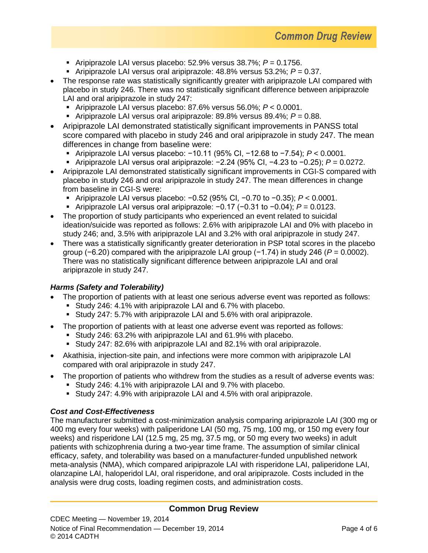- Aripiprazole LAI versus placebo: 52.9% versus 38.7%; *P* = 0.1756.
- Aripiprazole LAI versus oral aripiprazole: 48.8% versus 53.2%; *P* = 0.37.
- The response rate was statistically significantly greater with aripiprazole LAI compared with placebo in study 246. There was no statistically significant difference between aripiprazole LAI and oral aripiprazole in study 247:
	- Aripiprazole LAI versus placebo: 87.6% versus 56.0%; *P* < 0.0001.
	- Aripiprazole LAI versus oral aripiprazole: 89.8% versus 89.4%; *P* = 0.88.
- Aripiprazole LAI demonstrated statistically significant improvements in PANSS total score compared with placebo in study 246 and oral aripiprazole in study 247. The mean differences in change from baseline were:
	- Aripiprazole LAI versus placebo: −10.11 (95% CI, −12.68 to −7.54); *P* < 0.0001.
	- Aripiprazole LAI versus oral aripiprazole: −2.24 (95% CI, −4.23 to −0.25); *P* = 0.0272.
- Aripiprazole LAI demonstrated statistically significant improvements in CGI-S compared with placebo in study 246 and oral aripiprazole in study 247. The mean differences in change from baseline in CGI-S were:
	- Aripiprazole LAI versus placebo: −0.52 (95% CI, −0.70 to −0.35); *P* < 0.0001.
	- Aripiprazole LAI versus oral aripiprazole: −0.17 (−0.31 to −0.04); *P* = 0.0123.
- The proportion of study participants who experienced an event related to suicidal ideation/suicide was reported as follows: 2.6% with aripiprazole LAI and 0% with placebo in study 246; and, 3.5% with aripiprazole LAI and 3.2% with oral aripiprazole in study 247.
- There was a statistically significantly greater deterioration in PSP total scores in the placebo group (−6.20) compared with the aripiprazole LAI group (−1.74) in study 246 (*P* = 0.0002). There was no statistically significant difference between aripiprazole LAI and oral aripiprazole in study 247.

## *Harms (Safety and Tolerability)*

- The proportion of patients with at least one serious adverse event was reported as follows:
	- Study 246: 4.1% with aripiprazole LAI and 6.7% with placebo.
	- Study 247: 5.7% with aripiprazole LAI and 5.6% with oral aripiprazole.
- The proportion of patients with at least one adverse event was reported as follows:
	- Study 246: 63.2% with aripiprazole LAI and 61.9% with placebo.
	- Study 247: 82.6% with aripiprazole LAI and 82.1% with oral aripiprazole.
- Akathisia, injection-site pain, and infections were more common with aripiprazole LAI compared with oral aripiprazole in study 247.
- The proportion of patients who withdrew from the studies as a result of adverse events was:
	- Study 246: 4.1% with aripiprazole LAI and 9.7% with placebo.
	- Study 247: 4.9% with aripiprazole LAI and 4.5% with oral aripiprazole.

## *Cost and Cost-Effectiveness*

The manufacturer submitted a cost-minimization analysis comparing aripiprazole LAI (300 mg or 400 mg every four weeks) with paliperidone LAI (50 mg, 75 mg, 100 mg, or 150 mg every four weeks) and risperidone LAI (12.5 mg, 25 mg, 37.5 mg, or 50 mg every two weeks) in adult patients with schizophrenia during a two-year time frame. The assumption of similar clinical efficacy, safety, and tolerability was based on a manufacturer-funded unpublished network meta-analysis (NMA), which compared aripiprazole LAI with risperidone LAI, paliperidone LAI, olanzapine LAI, haloperidol LAI, oral risperidone, and oral aripiprazole. Costs included in the analysis were drug costs, loading regimen costs, and administration costs.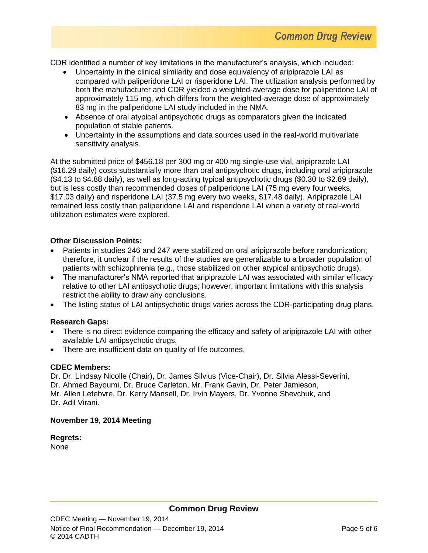CDR identified a number of key limitations in the manufacturer's analysis, which included:

- Uncertainty in the clinical similarity and dose equivalency of aripiprazole LAI as compared with paliperidone LAI or risperidone LAI. The utilization analysis performed by both the manufacturer and CDR yielded a weighted-average dose for paliperidone LAI of approximately 115 mg, which differs from the weighted-average dose of approximately 83 mg in the paliperidone LAI study included in the NMA.
- Absence of oral atypical antipsychotic drugs as comparators given the indicated population of stable patients.
- Uncertainty in the assumptions and data sources used in the real-world multivariate sensitivity analysis.

At the submitted price of \$456.18 per 300 mg or 400 mg single-use vial, aripiprazole LAI (\$16.29 daily) costs substantially more than oral antipsychotic drugs, including oral aripiprazole (\$4.13 to \$4.88 daily), as well as long-acting typical antipsychotic drugs (\$0.30 to \$2.89 daily), but is less costly than recommended doses of paliperidone LAI (75 mg every four weeks, \$17.03 daily) and risperidone LAI (37.5 mg every two weeks, \$17.48 daily). Aripiprazole LAI remained less costly than paliperidone LAI and risperidone LAI when a variety of real-world utilization estimates were explored.

#### **Other Discussion Points:**

- Patients in studies 246 and 247 were stabilized on oral aripiprazole before randomization; therefore, it unclear if the results of the studies are generalizable to a broader population of patients with schizophrenia (e.g., those stabilized on other atypical antipsychotic drugs).
- The manufacturer's NMA reported that aripiprazole LAI was associated with similar efficacy relative to other LAI antipsychotic drugs; however, important limitations with this analysis restrict the ability to draw any conclusions.
- The listing status of LAI antipsychotic drugs varies across the CDR-participating drug plans.

## **Research Gaps:**

- There is no direct evidence comparing the efficacy and safety of aripiprazole LAI with other available LAI antipsychotic drugs.
- There are insufficient data on quality of life outcomes.

## **CDEC Members:**

Dr. Dr. Lindsay Nicolle (Chair), Dr. James Silvius (Vice-Chair), Dr. Silvia Alessi-Severini, Dr. Ahmed Bayoumi, Dr. Bruce Carleton, Mr. Frank Gavin, Dr. Peter Jamieson, Mr. Allen Lefebvre, Dr. Kerry Mansell, Dr. Irvin Mayers, Dr. Yvonne Shevchuk, and Dr. Adil Virani.

#### **November 19, 2014 Meeting**

**Regrets:** None